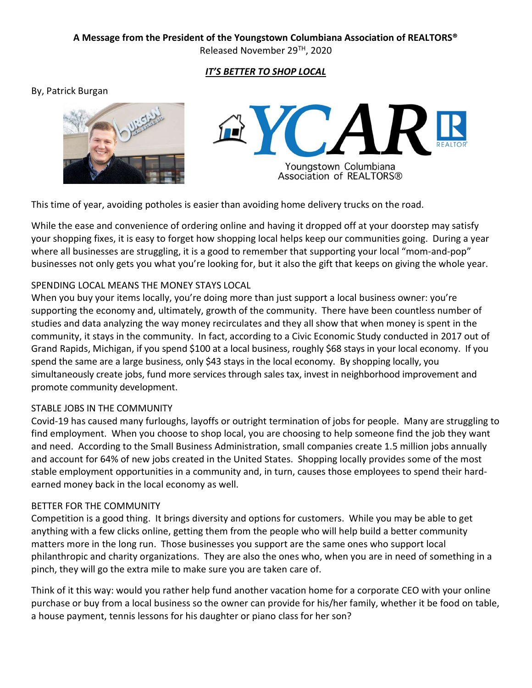## A Message from the President of the Youngstown Columbiana Association of REALTORS®

Released November 29TH, 2020

# IT'S BETTER TO SHOP LOCAL

### By, Patrick Burgan





This time of year, avoiding potholes is easier than avoiding home delivery trucks on the road.

While the ease and convenience of ordering online and having it dropped off at your doorstep may satisfy your shopping fixes, it is easy to forget how shopping local helps keep our communities going. During a year where all businesses are struggling, it is a good to remember that supporting your local "mom-and-pop" businesses not only gets you what you're looking for, but it also the gift that keeps on giving the whole year.

### SPENDING LOCAL MEANS THE MONEY STAYS LOCAL

When you buy your items locally, you're doing more than just support a local business owner: you're supporting the economy and, ultimately, growth of the community. There have been countless number of studies and data analyzing the way money recirculates and they all show that when money is spent in the community, it stays in the community. In fact, according to a Civic Economic Study conducted in 2017 out of Grand Rapids, Michigan, if you spend \$100 at a local business, roughly \$68 stays in your local economy. If you spend the same are a large business, only \$43 stays in the local economy. By shopping locally, you simultaneously create jobs, fund more services through sales tax, invest in neighborhood improvement and promote community development.

## STABLE JOBS IN THE COMMUNITY

Covid-19 has caused many furloughs, layoffs or outright termination of jobs for people. Many are struggling to find employment. When you choose to shop local, you are choosing to help someone find the job they want and need. According to the Small Business Administration, small companies create 1.5 million jobs annually and account for 64% of new jobs created in the United States. Shopping locally provides some of the most stable employment opportunities in a community and, in turn, causes those employees to spend their hardearned money back in the local economy as well.

#### BETTER FOR THE COMMUNITY

Competition is a good thing. It brings diversity and options for customers. While you may be able to get anything with a few clicks online, getting them from the people who will help build a better community matters more in the long run. Those businesses you support are the same ones who support local philanthropic and charity organizations. They are also the ones who, when you are in need of something in a pinch, they will go the extra mile to make sure you are taken care of.

Think of it this way: would you rather help fund another vacation home for a corporate CEO with your online purchase or buy from a local business so the owner can provide for his/her family, whether it be food on table, a house payment, tennis lessons for his daughter or piano class for her son?